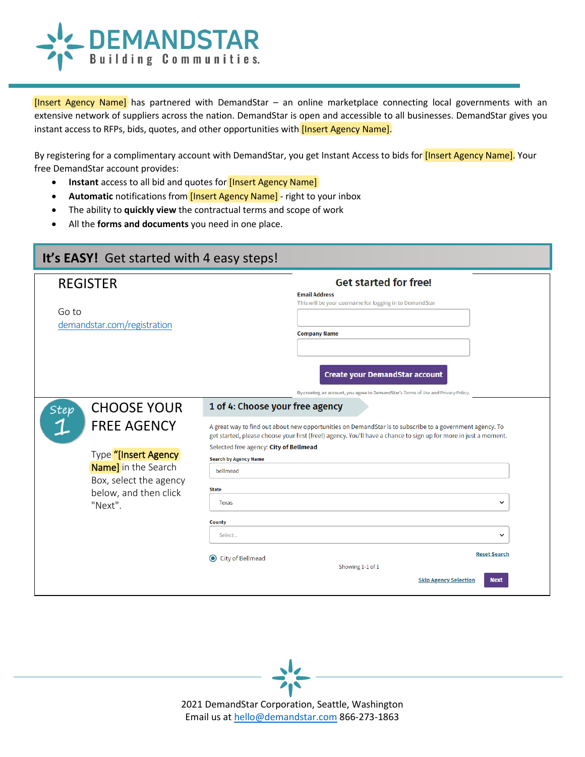

[Insert Agency Name] has partnered with DemandStar – an online marketplace connecting local governments with an extensive network of suppliers across the nation. DemandStar is open and accessible to all businesses. DemandStar gives you instant access to RFPs, bids, quotes, and other opportunities with *[Insert Agency Name]*.

By registering for a complimentary account with DemandStar, you get Instant Access to bids for *[Insert Agency Name]*. Your free DemandStar account provides:

- **Instant** access to all bid and quotes for **[Insert Agency Name]**
- Automatic notifications from **[Insert Agency Name]** right to your inbox
- The ability to **quickly view** the contractual terms and scope of work
- All the **forms and documents** you need in one place.

| It's EASY! Get started with 4 easy steps!                                                                                                                                    |                                                                                                                                                                                                                                                                                                                                                                                                                                                                                                                                                                                                                                                                      |  |  |
|------------------------------------------------------------------------------------------------------------------------------------------------------------------------------|----------------------------------------------------------------------------------------------------------------------------------------------------------------------------------------------------------------------------------------------------------------------------------------------------------------------------------------------------------------------------------------------------------------------------------------------------------------------------------------------------------------------------------------------------------------------------------------------------------------------------------------------------------------------|--|--|
| <b>REGISTER</b><br>Go to<br>demandstar.com/registration                                                                                                                      | <b>Get started for free!</b><br><b>Email Address</b><br>This will be your username for logging in to DemandStar<br><b>Company Name</b><br>Create your DemandStar account                                                                                                                                                                                                                                                                                                                                                                                                                                                                                             |  |  |
| <b>CHOOSE YOUR</b><br><b>Step</b><br><b>FREE AGENCY</b><br>Type "[Insert Agency]<br><b>Name]</b> in the Search<br>Box, select the agency<br>below, and then click<br>"Next". | By creating an account, you agree to DemandStar's Terms of Use and Privacy Policy.<br>1 of 4: Choose your free agency<br>A great way to find out about new opportunities on DemandStar is to subscribe to a government agency. To<br>get started, please choose your first (free!) agency. You'll have a chance to sign up for more in just a moment.<br>Selected free agency: City of Bellmead<br><b>Search by Agency Name</b><br>bellmead<br><b>State</b><br><b>Texas</b><br>$\check{ }$<br><b>County</b><br>Select<br>$\check{ }$<br><b>Reset Search</b><br>$\odot$<br><b>City of Bellmead</b><br>Showing 1-1 of 1<br><b>Next</b><br><b>Skip Agency Selection</b> |  |  |



2021 DemandStar Corporation, Seattle, Washington Email us at [hello@demandstar.com](mailto:hello@demandstar.com) 866-273-1863